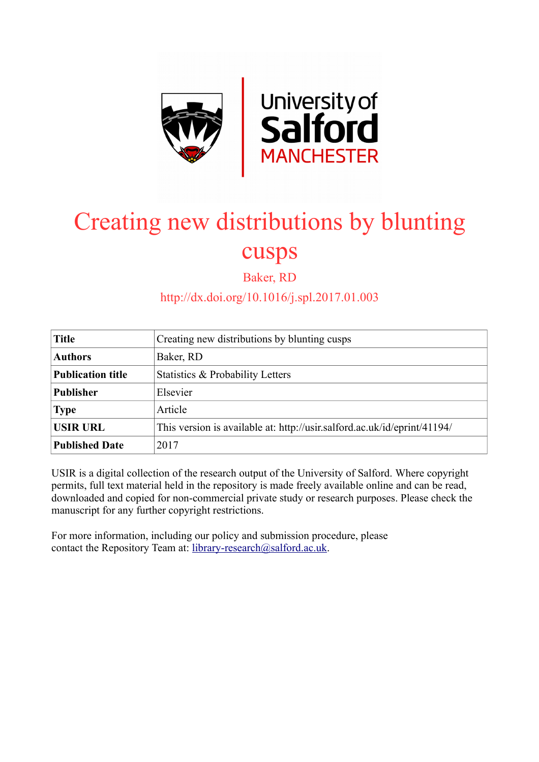

# Creating new distributions by blunting cusps

Baker, RD

## http://dx.doi.org/10.1016/j.spl.2017.01.003

| <b>Title</b>             | Creating new distributions by blunting cusps                             |  |  |
|--------------------------|--------------------------------------------------------------------------|--|--|
| <b>Authors</b>           | Baker, RD                                                                |  |  |
| <b>Publication title</b> | Statistics & Probability Letters                                         |  |  |
| <b>Publisher</b>         | Elsevier                                                                 |  |  |
| <b>Type</b>              | Article                                                                  |  |  |
| <b>USIR URL</b>          | This version is available at: http://usir.salford.ac.uk/id/eprint/41194/ |  |  |
| <b>Published Date</b>    | 2017                                                                     |  |  |

USIR is a digital collection of the research output of the University of Salford. Where copyright permits, full text material held in the repository is made freely available online and can be read, downloaded and copied for non-commercial private study or research purposes. Please check the manuscript for any further copyright restrictions.

For more information, including our policy and submission procedure, please contact the Repository Team at: [library-research@salford.ac.uk.](mailto:library-research@salford.ac.uk)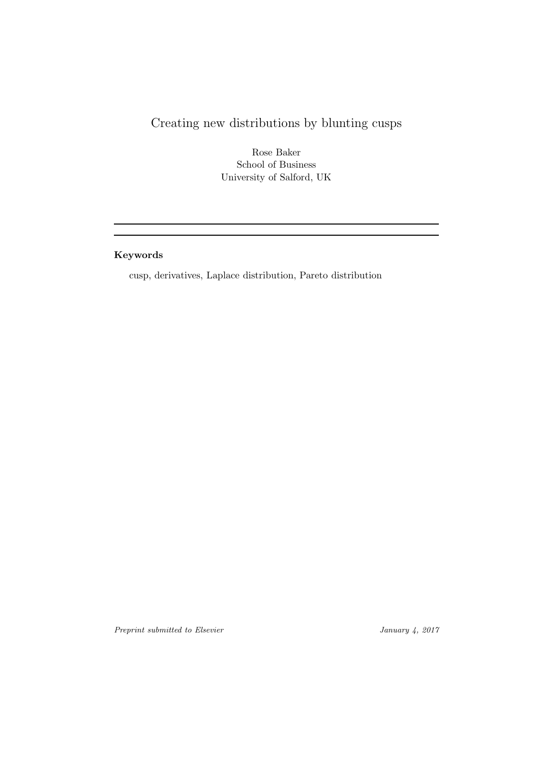## Creating new distributions by blunting cusps

Rose Baker School of Business University of Salford, UK

Keywords

cusp, derivatives, Laplace distribution, Pareto distribution

Preprint submitted to Elsevier January 4, 2017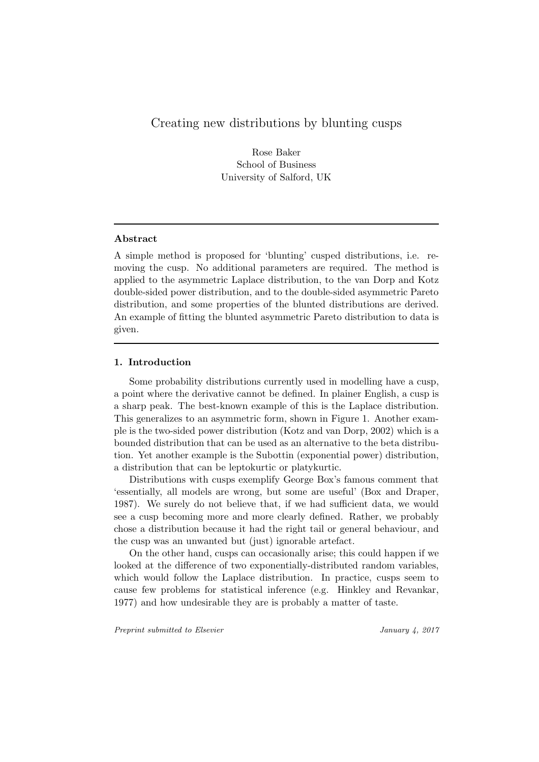### Creating new distributions by blunting cusps

Rose Baker School of Business University of Salford, UK

#### Abstract

A simple method is proposed for 'blunting' cusped distributions, i.e. removing the cusp. No additional parameters are required. The method is applied to the asymmetric Laplace distribution, to the van Dorp and Kotz double-sided power distribution, and to the double-sided asymmetric Pareto distribution, and some properties of the blunted distributions are derived. An example of fitting the blunted asymmetric Pareto distribution to data is given.

#### 1. Introduction

Some probability distributions currently used in modelling have a cusp, a point where the derivative cannot be defined. In plainer English, a cusp is a sharp peak. The best-known example of this is the Laplace distribution. This generalizes to an asymmetric form, shown in Figure 1. Another example is the two-sided power distribution (Kotz and van Dorp, 2002) which is a bounded distribution that can be used as an alternative to the beta distribution. Yet another example is the Subottin (exponential power) distribution, a distribution that can be leptokurtic or platykurtic.

Distributions with cusps exemplify George Box's famous comment that 'essentially, all models are wrong, but some are useful' (Box and Draper, 1987). We surely do not believe that, if we had sufficient data, we would see a cusp becoming more and more clearly defined. Rather, we probably chose a distribution because it had the right tail or general behaviour, and the cusp was an unwanted but (just) ignorable artefact.

On the other hand, cusps can occasionally arise; this could happen if we looked at the difference of two exponentially-distributed random variables, which would follow the Laplace distribution. In practice, cusps seem to cause few problems for statistical inference (e.g. Hinkley and Revankar, 1977) and how undesirable they are is probably a matter of taste.

Preprint submitted to Elsevier Theorem 1, 2017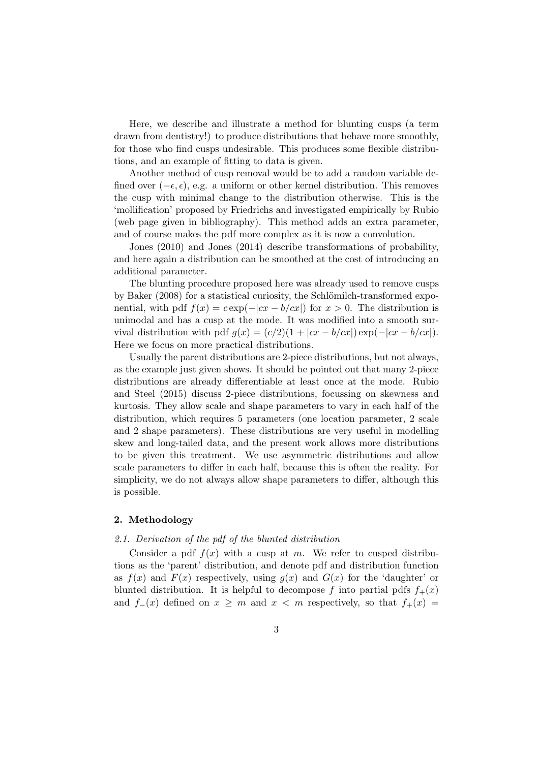Here, we describe and illustrate a method for blunting cusps (a term drawn from dentistry!) to produce distributions that behave more smoothly, for those who find cusps undesirable. This produces some flexible distributions, and an example of fitting to data is given.

Another method of cusp removal would be to add a random variable defined over  $(-\epsilon, \epsilon)$ , e.g. a uniform or other kernel distribution. This removes the cusp with minimal change to the distribution otherwise. This is the 'mollification' proposed by Friedrichs and investigated empirically by Rubio (web page given in bibliography). This method adds an extra parameter, and of course makes the pdf more complex as it is now a convolution.

Jones (2010) and Jones (2014) describe transformations of probability, and here again a distribution can be smoothed at the cost of introducing an additional parameter.

The blunting procedure proposed here was already used to remove cusps by Baker (2008) for a statistical curiosity, the Schlömilch-transformed exponential, with pdf  $f(x) = c \exp(-|cx - b/cx|)$  for  $x > 0$ . The distribution is unimodal and has a cusp at the mode. It was modified into a smooth survival distribution with pdf  $g(x) = (c/2)(1 + |cx - b/cx|) \exp(-|cx - b/cx|)$ . Here we focus on more practical distributions.

Usually the parent distributions are 2-piece distributions, but not always, as the example just given shows. It should be pointed out that many 2-piece distributions are already differentiable at least once at the mode. Rubio and Steel (2015) discuss 2-piece distributions, focussing on skewness and kurtosis. They allow scale and shape parameters to vary in each half of the distribution, which requires 5 parameters (one location parameter, 2 scale and 2 shape parameters). These distributions are very useful in modelling skew and long-tailed data, and the present work allows more distributions to be given this treatment. We use asymmetric distributions and allow scale parameters to differ in each half, because this is often the reality. For simplicity, we do not always allow shape parameters to differ, although this is possible.

#### 2. Methodology

#### 2.1. Derivation of the pdf of the blunted distribution

Consider a pdf  $f(x)$  with a cusp at m. We refer to cusped distributions as the 'parent' distribution, and denote pdf and distribution function as  $f(x)$  and  $F(x)$  respectively, using  $g(x)$  and  $G(x)$  for the 'daughter' or blunted distribution. It is helpful to decompose f into partial pdfs  $f_+(x)$ and  $f_-(x)$  defined on  $x \geq m$  and  $x < m$  respectively, so that  $f_+(x) =$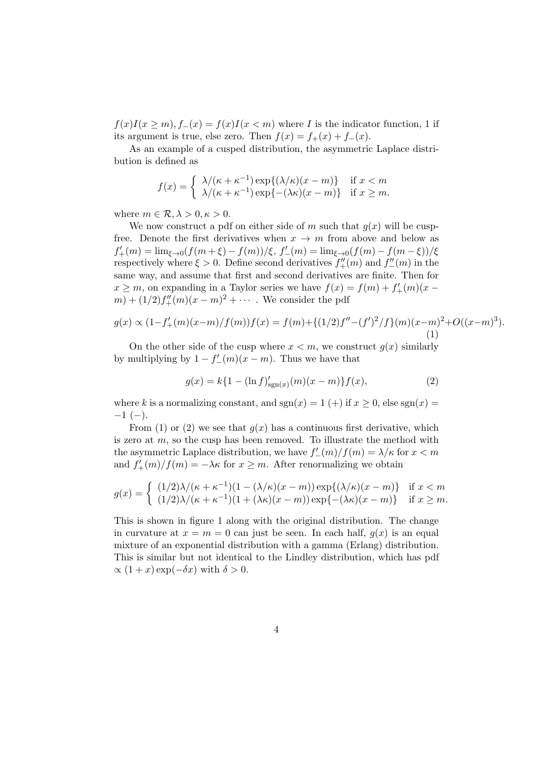$f(x)I(x \geq m), f_-(x) = f(x)I(x < m)$  where I is the indicator function, 1 if its argument is true, else zero. Then  $f(x) = f_{+}(x) + f_{-}(x)$ .

As an example of a cusped distribution, the asymmetric Laplace distribution is defined as

$$
f(x) = \begin{cases} \lambda/(\kappa + \kappa^{-1}) \exp\{(\lambda/\kappa)(x - m)\} & \text{if } x < m \\ \lambda/(\kappa + \kappa^{-1}) \exp\{-(\lambda\kappa)(x - m)\} & \text{if } x \ge m. \end{cases}
$$

where  $m \in \mathcal{R}, \lambda > 0, \kappa > 0$ .

We now construct a pdf on either side of m such that  $g(x)$  will be cuspfree. Denote the first derivatives when  $x \to m$  from above and below as  $f'_{+}(m) = \lim_{\xi \to 0} \frac{f(m+\xi) - f(m)}{\xi}, \, f'_{-}(m) = \lim_{\xi \to 0} \frac{f(m) - f(m-\xi)}{\xi}$ respectively where  $\xi > 0$ . Define second derivatives  $f''_{+}(m)$  and  $f''_{-}(m)$  in the same way, and assume that first and second derivatives are finite. Then for  $x \geq m$ , on expanding in a Taylor series we have  $f(x) = f(m) + f'_{+}(m)(x (m) + (1/2) f''_+(m)(x - m)^2 + \cdots$ . We consider the pdf

$$
g(x) \propto (1 - f'_{+}(m)(x-m)/f(m))f(x) = f(m) + \{(1/2)f'' - (f')^{2}/f\}(m)(x-m)^{2} + O((x-m)^{3}).
$$
\n(1)

On the other side of the cusp where  $x < m$ , we construct  $q(x)$  similarly by multiplying by  $1 - f'_{-}(m)(x - m)$ . Thus we have that

$$
g(x) = k\{1 - (\ln f)'_{\text{sgn}(x)}(m)(x - m)\}f(x),\tag{2}
$$

where k is a normalizing constant, and  $sgn(x) = 1 +$  if  $x \ge 0$ , else  $sgn(x) =$  $-1$  (−).

From (1) or (2) we see that  $q(x)$  has a continuous first derivative, which is zero at  $m$ , so the cusp has been removed. To illustrate the method with the asymmetric Laplace distribution, we have  $f'_{-}(m)/f(m) = \lambda/\kappa$  for  $x < m$ and  $f'_{+}(m)/f(m) = -\lambda \kappa$  for  $x \geq m$ . After renormalizing we obtain

$$
g(x) = \begin{cases} (1/2)\lambda/(\kappa + \kappa^{-1})(1 - (\lambda/\kappa)(x - m))\exp\{(\lambda/\kappa)(x - m)\} & \text{if } x < m \\ (1/2)\lambda/(\kappa + \kappa^{-1})(1 + (\lambda\kappa)(x - m))\exp\{-(\lambda\kappa)(x - m)\} & \text{if } x \ge m. \end{cases}
$$

This is shown in figure 1 along with the original distribution. The change in curvature at  $x = m = 0$  can just be seen. In each half,  $q(x)$  is an equal mixture of an exponential distribution with a gamma (Erlang) distribution. This is similar but not identical to the Lindley distribution, which has pdf  $\propto (1+x) \exp(-\delta x)$  with  $\delta > 0$ .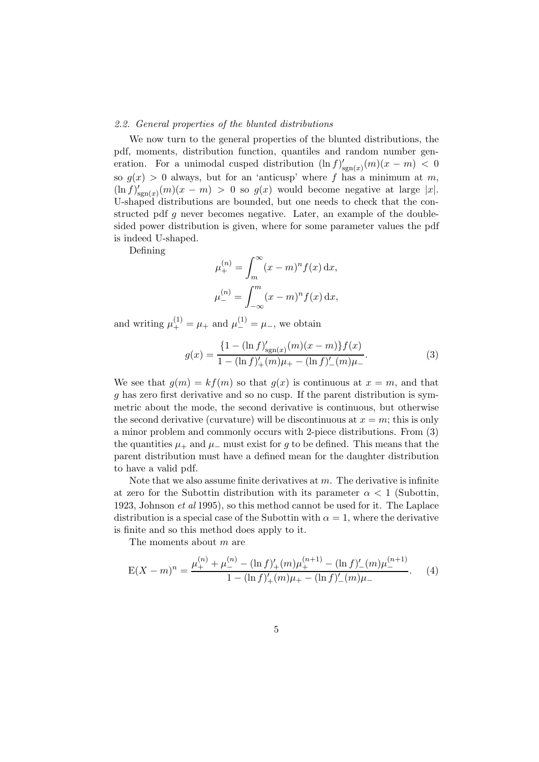#### 2.2. General properties of the blunted distributions

We now turn to the general properties of the blunted distributions, the pdf, moments, distribution function, quantiles and random number generation. For a unimodal cusped distribution  $(\ln f)'_{\text{sgn}(x)}(m)(x - m) < 0$ so  $g(x) > 0$  always, but for an 'anticusp' where f has a minimum at m,  $(\ln f)'_{\text{sgn}(x)}(m)(x - m) > 0$  so  $g(x)$  would become negative at large |x|. U-shaped distributions are bounded, but one needs to check that the constructed pdf g never becomes negative. Later, an example of the doublesided power distribution is given, where for some parameter values the pdf is indeed U-shaped.

Defining

$$
\mu_{+}^{(n)} = \int_{m}^{\infty} (x - m)^{n} f(x) dx,
$$

$$
\mu_{-}^{(n)} = \int_{-\infty}^{m} (x - m)^{n} f(x) dx,
$$

and writing  $\mu_{+}^{(1)} = \mu_{+}$  and  $\mu_{-}^{(1)} = \mu_{-}$ , we obtain

$$
g(x) = \frac{\{1 - (\ln f)'_{\text{sgn}(x)}(m)(x - m)\} f(x)}{1 - (\ln f)'_+(m)\mu_+ - (\ln f)'_-(m)\mu_-}.
$$
 (3)

We see that  $g(m) = kf(m)$  so that  $g(x)$  is continuous at  $x = m$ , and that g has zero first derivative and so no cusp. If the parent distribution is symmetric about the mode, the second derivative is continuous, but otherwise the second derivative (curvature) will be discontinuous at  $x = m$ ; this is only a minor problem and commonly occurs with 2-piece distributions. From (3) the quantities  $\mu_+$  and  $\mu_-$  must exist for g to be defined. This means that the parent distribution must have a defined mean for the daughter distribution to have a valid pdf.

Note that we also assume finite derivatives at  $m$ . The derivative is infinite at zero for the Subottin distribution with its parameter  $\alpha < 1$  (Subottin, 1923, Johnson et al 1995), so this method cannot be used for it. The Laplace distribution is a special case of the Subottin with  $\alpha = 1$ , where the derivative is finite and so this method does apply to it.

The moments about m are

$$
E(X - m)^n = \frac{\mu_+^{(n)} + \mu_-^{(n)} - (\ln f)_+'(m)\mu_+^{(n+1)} - (\ln f)_-'(m)\mu_-^{(n+1)}}{1 - (\ln f)_+'(m)\mu_+ - (\ln f)_-'(m)\mu_-}.
$$
 (4)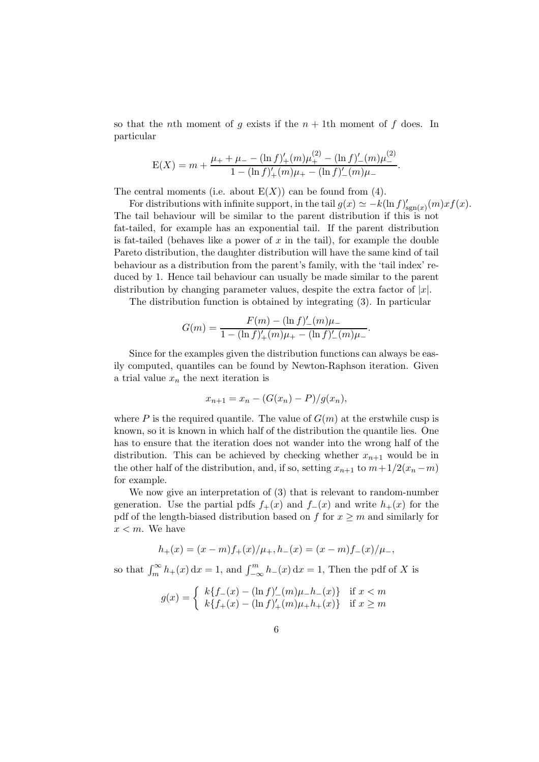so that the *n*th moment of g exists if the  $n + 1$ th moment of f does. In particular

$$
E(X) = m + \frac{\mu_+ + \mu_- - (\ln f)'_+(m)\mu_+^{(2)} - (\ln f)'_-(m)\mu_-^{(2)}}{1 - (\ln f)'_+(m)\mu_+ - (\ln f)'_-(m)\mu_-}.
$$

The central moments (i.e. about  $E(X)$ ) can be found from (4).

For distributions with infinite support, in the tail  $g(x) \simeq -k(\ln f)'_{\text{sgn}(x)}(m)x f(x)$ . The tail behaviour will be similar to the parent distribution if this is not fat-tailed, for example has an exponential tail. If the parent distribution is fat-tailed (behaves like a power of  $x$  in the tail), for example the double Pareto distribution, the daughter distribution will have the same kind of tail behaviour as a distribution from the parent's family, with the 'tail index' reduced by 1. Hence tail behaviour can usually be made similar to the parent distribution by changing parameter values, despite the extra factor of  $|x|$ .

The distribution function is obtained by integrating (3). In particular

$$
G(m) = \frac{F(m) - (\ln f)'_{-}(m)\mu_{-}}{1 - (\ln f)'_{+}(m)\mu_{+} - (\ln f)'_{-}(m)\mu_{-}}
$$

.

Since for the examples given the distribution functions can always be easily computed, quantiles can be found by Newton-Raphson iteration. Given a trial value  $x_n$  the next iteration is

$$
x_{n+1} = x_n - (G(x_n) - P)/g(x_n),
$$

where P is the required quantile. The value of  $G(m)$  at the erstwhile cusp is known, so it is known in which half of the distribution the quantile lies. One has to ensure that the iteration does not wander into the wrong half of the distribution. This can be achieved by checking whether  $x_{n+1}$  would be in the other half of the distribution, and, if so, setting  $x_{n+1}$  to  $m+1/2(x_n-m)$ for example.

We now give an interpretation of  $(3)$  that is relevant to random-number generation. Use the partial pdfs  $f_+(x)$  and  $f_-(x)$  and write  $h_+(x)$  for the pdf of the length-biased distribution based on f for  $x \geq m$  and similarly for  $x < m$ . We have

$$
h_{+}(x) = (x - m)f_{+}(x)/\mu_{+}, h_{-}(x) = (x - m)f_{-}(x)/\mu_{-},
$$

so that  $\int_m^{\infty} h_+(x) dx = 1$ , and  $\int_{-\infty}^m h_-(x) dx = 1$ , Then the pdf of X is

$$
g(x) = \begin{cases} k\{f_{-}(x) - (\ln f)'_{-}(m)\mu_{-}h_{-}(x)\} & \text{if } x < m\\ k\{f_{+}(x) - (\ln f)'_{+}(m)\mu_{+}h_{+}(x)\} & \text{if } x \ge m \end{cases}
$$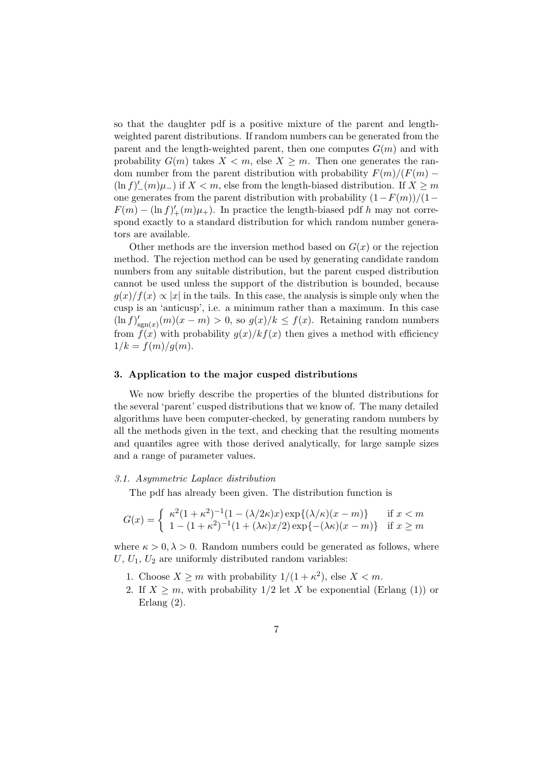so that the daughter pdf is a positive mixture of the parent and lengthweighted parent distributions. If random numbers can be generated from the parent and the length-weighted parent, then one computes  $G(m)$  and with probability  $G(m)$  takes  $X < m$ , else  $X \geq m$ . Then one generates the random number from the parent distribution with probability  $F(m)/(F(m) -$ (ln f)'\_(m) $\mu$ <sub>−</sub>) if  $X < m$ , else from the length-biased distribution. If  $X \ge m$ one generates from the parent distribution with probability  $(1-F(m))/(1-\mathcal{F}(m))$  $F(m) - (\ln f)'_+(m)\mu_+$ ). In practice the length-biased pdf h may not correspond exactly to a standard distribution for which random number generators are available.

Other methods are the inversion method based on  $G(x)$  or the rejection method. The rejection method can be used by generating candidate random numbers from any suitable distribution, but the parent cusped distribution cannot be used unless the support of the distribution is bounded, because  $g(x)/f(x) \propto |x|$  in the tails. In this case, the analysis is simple only when the cusp is an 'anticusp', i.e. a minimum rather than a maximum. In this case  $(\ln f)'_{\text{sgn}(x)}(m)(x - m) > 0$ , so  $g(x)/k \le f(x)$ . Retaining random numbers from  $f(x)$  with probability  $g(x)/kf(x)$  then gives a method with efficiency  $1/k = f(m)/g(m)$ .

#### 3. Application to the major cusped distributions

We now briefly describe the properties of the blunted distributions for the several 'parent' cusped distributions that we know of. The many detailed algorithms have been computer-checked, by generating random numbers by all the methods given in the text, and checking that the resulting moments and quantiles agree with those derived analytically, for large sample sizes and a range of parameter values.

#### 3.1. Asymmetric Laplace distribution

The pdf has already been given. The distribution function is

$$
G(x) = \begin{cases} \kappa^2 (1 + \kappa^2)^{-1} (1 - (\lambda/2\kappa)x) \exp\{(\lambda/\kappa)(x - m)\} & \text{if } x < m \\ 1 - (1 + \kappa^2)^{-1} (1 + (\lambda\kappa)x/2) \exp\{-(\lambda\kappa)(x - m)\} & \text{if } x \ge m \end{cases}
$$

where  $\kappa > 0, \lambda > 0$ . Random numbers could be generated as follows, where  $U, U_1, U_2$  are uniformly distributed random variables:

- 1. Choose  $X \geq m$  with probability  $1/(1 + \kappa^2)$ , else  $X < m$ .
- 2. If  $X \geq m$ , with probability 1/2 let X be exponential (Erlang (1)) or Erlang (2).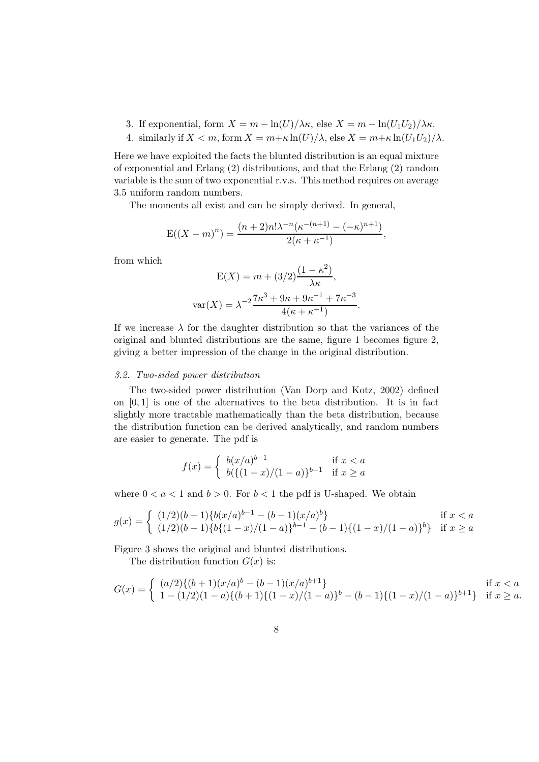- 3. If exponential, form  $X = m \ln(U)/\lambda\kappa$ , else  $X = m \ln(U_1U_2)/\lambda\kappa$ .
- 4. similarly if  $X < m$ , form  $X = m + \kappa \ln(U)/\lambda$ , else  $X = m + \kappa \ln(U_1U_2)/\lambda$ .

Here we have exploited the facts the blunted distribution is an equal mixture of exponential and Erlang (2) distributions, and that the Erlang (2) random variable is the sum of two exponential r.v.s. This method requires on average 3.5 uniform random numbers.

The moments all exist and can be simply derived. In general,

$$
E((X - m)^n) = \frac{(n+2)n! \lambda^{-n} (\kappa^{-(n+1)} - (-\kappa)^{n+1})}{2(\kappa + \kappa^{-1})},
$$

from which

$$
E(X) = m + (3/2) \frac{(1 - \kappa^2)}{\lambda \kappa},
$$
  
var(X) =  $\lambda^{-2} \frac{7\kappa^3 + 9\kappa + 9\kappa^{-1} + 7\kappa^{-3}}{4(\kappa + \kappa^{-1})}.$ 

 $\alpha$ 

If we increase  $\lambda$  for the daughter distribution so that the variances of the original and blunted distributions are the same, figure 1 becomes figure 2, giving a better impression of the change in the original distribution.

#### 3.2. Two-sided power distribution

The two-sided power distribution (Van Dorp and Kotz, 2002) defined on [0, 1] is one of the alternatives to the beta distribution. It is in fact slightly more tractable mathematically than the beta distribution, because the distribution function can be derived analytically, and random numbers are easier to generate. The pdf is

$$
f(x) = \begin{cases} b(x/a)^{b-1} & \text{if } x < a \\ b(\{(1-x)/(1-a)\}^{b-1} & \text{if } x \ge a \end{cases}
$$

where  $0 < a < 1$  and  $b > 0$ . For  $b < 1$  the pdf is U-shaped. We obtain

$$
g(x) = \begin{cases} (1/2)(b+1)\{b(x/a)^{b-1} - (b-1)(x/a)^b\} & \text{if } x < a \\ (1/2)(b+1)\{b\{(1-x)/(1-a)\}^{b-1} - (b-1)\{(1-x)/(1-a)\}^b\} & \text{if } x \ge a \end{cases}
$$

Figure 3 shows the original and blunted distributions.

The distribution function  $G(x)$  is:

$$
G(x) = \begin{cases} (a/2)\{(b+1)(x/a)^b - (b-1)(x/a)^{b+1}\} & \text{if } x < a \\ 1 - (1/2)(1-a)\{(b+1)\{(1-x)/(1-a)\}^b - (b-1)\{(1-x)/(1-a)\}^{b+1}\} & \text{if } x \ge a. \end{cases}
$$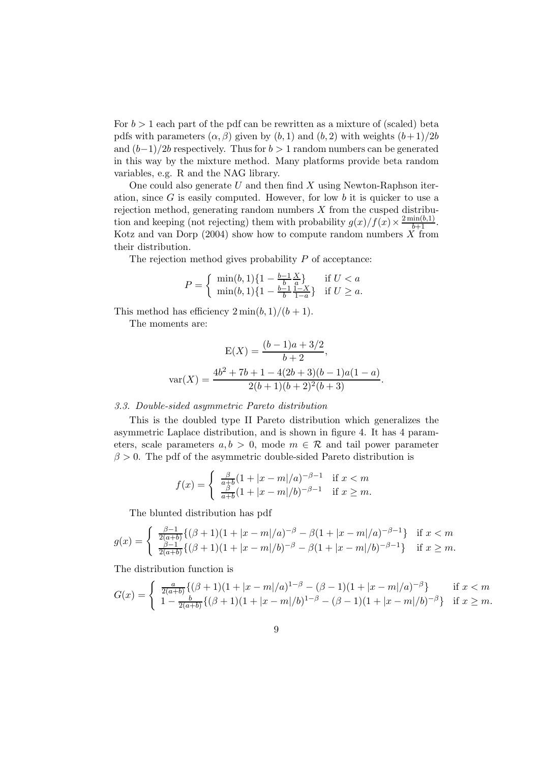For  $b > 1$  each part of the pdf can be rewritten as a mixture of (scaled) beta pdfs with parameters  $(\alpha, \beta)$  given by  $(b, 1)$  and  $(b, 2)$  with weights  $(b+1)/2b$ and  $(b-1)/2b$  respectively. Thus for  $b > 1$  random numbers can be generated in this way by the mixture method. Many platforms provide beta random variables, e.g. R and the NAG library.

One could also generate  $U$  and then find  $X$  using Newton-Raphson iteration, since  $G$  is easily computed. However, for low  $b$  it is quicker to use a rejection method, generating random numbers  $X$  from the cusped distribution and keeping (not rejecting) them with probability  $g(x)/f(x) \times \frac{2 \min(b,1)}{b+1}$ . Kotz and van Dorp (2004) show how to compute random numbers  $\overline{X}$  from their distribution.

The rejection method gives probability  $P$  of acceptance:

$$
P = \begin{cases} \min(b, 1)\{1 - \frac{b-1}{b} \frac{X}{a}\} & \text{if } U < a \\ \min(b, 1)\{1 - \frac{b-1}{b} \frac{1-X}{1-a}\} & \text{if } U \ge a. \end{cases}
$$

This method has efficiency  $2 \min(b, 1)/(b + 1)$ .

The moments are:

$$
E(X) = \frac{(b-1)a + 3/2}{b+2},
$$
  
 
$$
var(X) = \frac{4b^2 + 7b + 1 - 4(2b+3)(b-1)a(1-a)}{2(b+1)(b+2)^2(b+3)}.
$$

#### 3.3. Double-sided asymmetric Pareto distribution

This is the doubled type II Pareto distribution which generalizes the asymmetric Laplace distribution, and is shown in figure 4. It has 4 parameters, scale parameters  $a, b > 0$ , mode  $m \in \mathcal{R}$  and tail power parameter  $\beta > 0$ . The pdf of the asymmetric double-sided Pareto distribution is

$$
f(x) = \begin{cases} \frac{\beta}{a+b} (1+|x-m|/a)^{-\beta-1} & \text{if } x < m\\ \frac{\beta}{a+b} (1+|x-m|/b)^{-\beta-1} & \text{if } x \ge m. \end{cases}
$$

The blunted distribution has pdf

$$
g(x) = \begin{cases} \frac{\beta - 1}{2(a+b)} \{ (\beta + 1)(1 + |x - m|/a)^{-\beta} - \beta (1 + |x - m|/a)^{-\beta - 1} \} & \text{if } x < m \\ \frac{\beta - 1}{2(a+b)} \{ (\beta + 1)(1 + |x - m|/b)^{-\beta} - \beta (1 + |x - m|/b)^{-\beta - 1} \} & \text{if } x \ge m. \end{cases}
$$

The distribution function is

$$
G(x) = \begin{cases} \frac{a}{2(a+b)} \{ (\beta+1)(1+|x-m|/a)^{1-\beta} - (\beta-1)(1+|x-m|/a)^{-\beta} \} & \text{if } x < m \\ 1 - \frac{b}{2(a+b)} \{ (\beta+1)(1+|x-m|/b)^{1-\beta} - (\beta-1)(1+|x-m|/b)^{-\beta} \} & \text{if } x \ge m. \end{cases}
$$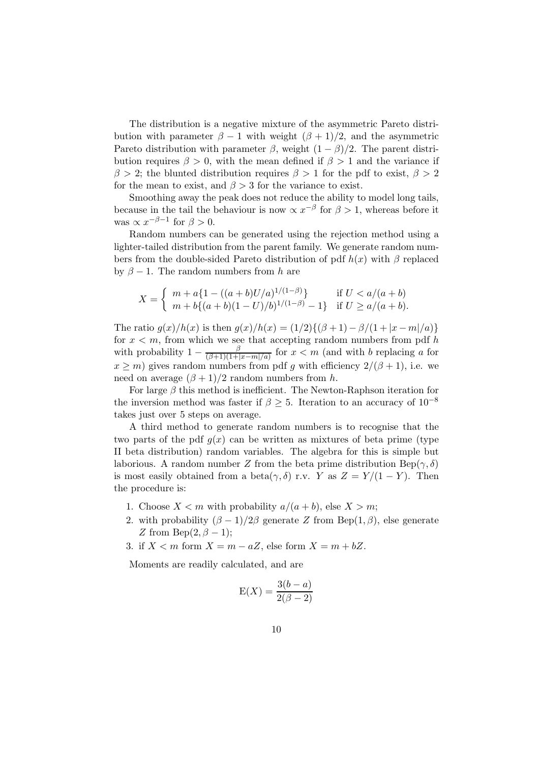The distribution is a negative mixture of the asymmetric Pareto distribution with parameter  $\beta - 1$  with weight  $(\beta + 1)/2$ , and the asymmetric Pareto distribution with parameter  $\beta$ , weight  $(1 - \beta)/2$ . The parent distribution requires  $\beta > 0$ , with the mean defined if  $\beta > 1$  and the variance if  $\beta > 2$ ; the blunted distribution requires  $\beta > 1$  for the pdf to exist,  $\beta > 2$ for the mean to exist, and  $\beta > 3$  for the variance to exist.

Smoothing away the peak does not reduce the ability to model long tails, because in the tail the behaviour is now  $\propto x^{-\beta}$  for  $\beta > 1$ , whereas before it was  $\propto x^{-\beta-1}$  for  $\beta > 0$ .

Random numbers can be generated using the rejection method using a lighter-tailed distribution from the parent family. We generate random numbers from the double-sided Pareto distribution of pdf  $h(x)$  with  $\beta$  replaced by  $\beta - 1$ . The random numbers from h are

$$
X = \begin{cases} m + a\{1 - ((a+b)U/a)^{1/(1-\beta)}\} & \text{if } U < a/(a+b) \\ m + b\{(a+b)(1-U)/b\}^{1/(1-\beta)} - 1 \} & \text{if } U \ge a/(a+b). \end{cases}
$$

The ratio  $g(x)/h(x)$  is then  $g(x)/h(x) = (1/2){(\beta + 1) - \beta/(1 + |x - m|/a)}$ for  $x < m$ , from which we see that accepting random numbers from pdf h with probability  $1 - \frac{\beta}{(\beta+1)(1+1)}$  $\frac{\beta}{(\beta+1)(1+|x-m|/a)}$  for  $x < m$  (and with b replacing a for  $x \geq m$ ) gives random numbers from pdf g with efficiency  $2/(\beta + 1)$ , i.e. we need on average  $(\beta + 1)/2$  random numbers from h.

For large  $\beta$  this method is inefficient. The Newton-Raphson iteration for the inversion method was faster if  $\beta \geq 5$ . Iteration to an accuracy of  $10^{-8}$ takes just over 5 steps on average.

A third method to generate random numbers is to recognise that the two parts of the pdf  $g(x)$  can be written as mixtures of beta prime (type II beta distribution) random variables. The algebra for this is simple but laborious. A random number Z from the beta prime distribution  $\text{Bep}(\gamma, \delta)$ is most easily obtained from a beta $(\gamma, \delta)$  r.v. Y as  $Z = Y/(1 - Y)$ . Then the procedure is:

- 1. Choose  $X < m$  with probability  $a/(a + b)$ , else  $X > m$ ;
- 2. with probability  $(\beta 1)/2\beta$  generate Z from Bep(1,  $\beta$ ), else generate Z from Bep $(2, \beta - 1)$ ;
- 3. if  $X < m$  form  $X = m aZ$ , else form  $X = m + bZ$ .

Moments are readily calculated, and are

$$
E(X) = \frac{3(b-a)}{2(\beta - 2)}
$$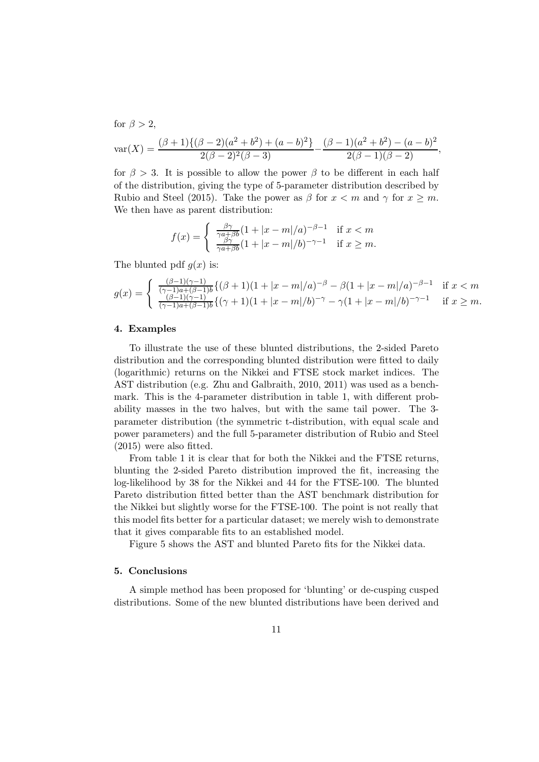for  $\beta > 2$ ,

$$
\text{var}(X) = \frac{(\beta+1)\{(\beta-2)(a^2+b^2)+(a-b)^2\}}{2(\beta-2)^2(\beta-3)} - \frac{(\beta-1)(a^2+b^2)-(a-b)^2}{2(\beta-1)(\beta-2)},
$$

for  $\beta > 3$ . It is possible to allow the power  $\beta$  to be different in each half of the distribution, giving the type of 5-parameter distribution described by Rubio and Steel (2015). Take the power as  $\beta$  for  $x < m$  and  $\gamma$  for  $x \geq m$ . We then have as parent distribution:

$$
f(x) = \begin{cases} \frac{\beta \gamma}{\gamma a + \beta b} (1 + |x - m|/a)^{-\beta - 1} & \text{if } x < m \\ \frac{\beta \gamma}{\gamma a + \beta b} (1 + |x - m|/b)^{-\gamma - 1} & \text{if } x \ge m. \end{cases}
$$

The blunted pdf  $g(x)$  is:

$$
g(x) = \begin{cases} \frac{(\beta - 1)(\gamma - 1)}{(\gamma - 1)a + (\beta - 1)b} \{ (\beta + 1)(1 + |x - m|/a)^{-\beta} - \beta (1 + |x - m|/a)^{-\beta - 1} & \text{if } x < m \\ \frac{(\beta - 1)(\gamma - 1)}{(\gamma - 1)a + (\beta - 1)b} \{ (\gamma + 1)(1 + |x - m|/b)^{-\gamma} - \gamma (1 + |x - m|/b)^{-\gamma - 1} & \text{if } x \ge m. \end{cases}
$$

#### 4. Examples

To illustrate the use of these blunted distributions, the 2-sided Pareto distribution and the corresponding blunted distribution were fitted to daily (logarithmic) returns on the Nikkei and FTSE stock market indices. The AST distribution (e.g. Zhu and Galbraith, 2010, 2011) was used as a benchmark. This is the 4-parameter distribution in table 1, with different probability masses in the two halves, but with the same tail power. The 3 parameter distribution (the symmetric t-distribution, with equal scale and power parameters) and the full 5-parameter distribution of Rubio and Steel (2015) were also fitted.

From table 1 it is clear that for both the Nikkei and the FTSE returns, blunting the 2-sided Pareto distribution improved the fit, increasing the log-likelihood by 38 for the Nikkei and 44 for the FTSE-100. The blunted Pareto distribution fitted better than the AST benchmark distribution for the Nikkei but slightly worse for the FTSE-100. The point is not really that this model fits better for a particular dataset; we merely wish to demonstrate that it gives comparable fits to an established model.

Figure 5 shows the AST and blunted Pareto fits for the Nikkei data.

#### 5. Conclusions

A simple method has been proposed for 'blunting' or de-cusping cusped distributions. Some of the new blunted distributions have been derived and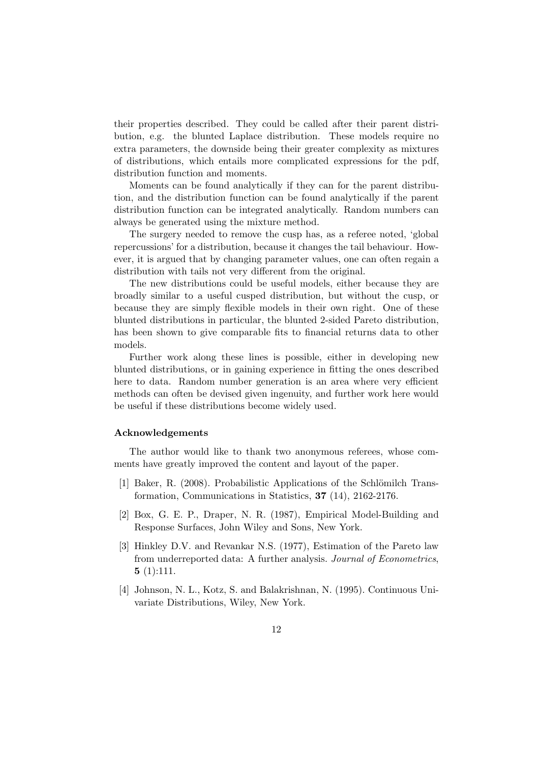their properties described. They could be called after their parent distribution, e.g. the blunted Laplace distribution. These models require no extra parameters, the downside being their greater complexity as mixtures of distributions, which entails more complicated expressions for the pdf, distribution function and moments.

Moments can be found analytically if they can for the parent distribution, and the distribution function can be found analytically if the parent distribution function can be integrated analytically. Random numbers can always be generated using the mixture method.

The surgery needed to remove the cusp has, as a referee noted, 'global repercussions' for a distribution, because it changes the tail behaviour. However, it is argued that by changing parameter values, one can often regain a distribution with tails not very different from the original.

The new distributions could be useful models, either because they are broadly similar to a useful cusped distribution, but without the cusp, or because they are simply flexible models in their own right. One of these blunted distributions in particular, the blunted 2-sided Pareto distribution, has been shown to give comparable fits to financial returns data to other models.

Further work along these lines is possible, either in developing new blunted distributions, or in gaining experience in fitting the ones described here to data. Random number generation is an area where very efficient methods can often be devised given ingenuity, and further work here would be useful if these distributions become widely used.

#### Acknowledgements

The author would like to thank two anonymous referees, whose comments have greatly improved the content and layout of the paper.

- [1] Baker, R. (2008). Probabilistic Applications of the Schlömilch Transformation, Communications in Statistics, 37 (14), 2162-2176.
- [2] Box, G. E. P., Draper, N. R. (1987), Empirical Model-Building and Response Surfaces, John Wiley and Sons, New York.
- [3] Hinkley D.V. and Revankar N.S. (1977), Estimation of the Pareto law from underreported data: A further analysis. Journal of Econometrics,  $5(1):111.$
- [4] Johnson, N. L., Kotz, S. and Balakrishnan, N. (1995). Continuous Univariate Distributions, Wiley, New York.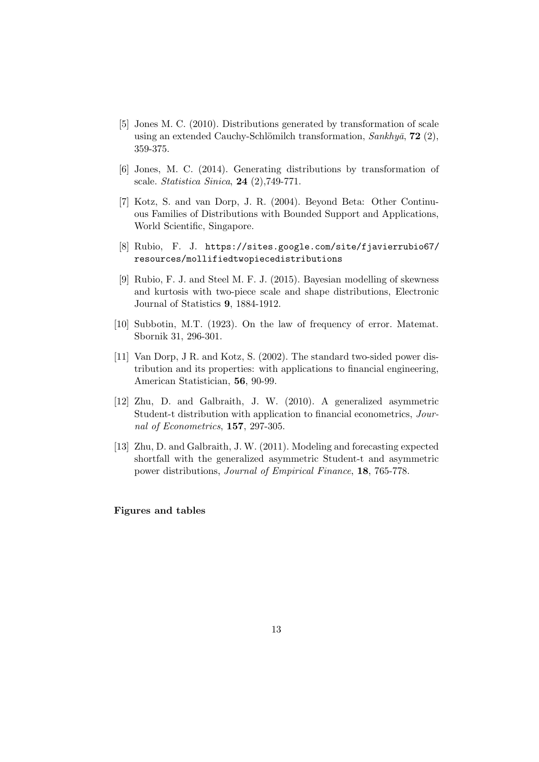- [5] Jones M. C. (2010). Distributions generated by transformation of scale using an extended Cauchy-Schlömilch transformation,  $Sankhy\bar{a}$ , 72 (2), 359-375.
- [6] Jones, M. C. (2014). Generating distributions by transformation of scale. Statistica Sinica, 24 (2),749-771.
- [7] Kotz, S. and van Dorp, J. R. (2004). Beyond Beta: Other Continuous Families of Distributions with Bounded Support and Applications, World Scientific, Singapore.
- [8] Rubio, F. J. https://sites.google.com/site/fjavierrubio67/ resources/mollifiedtwopiecedistributions
- [9] Rubio, F. J. and Steel M. F. J. (2015). Bayesian modelling of skewness and kurtosis with two-piece scale and shape distributions, Electronic Journal of Statistics 9, 1884-1912.
- [10] Subbotin, M.T. (1923). On the law of frequency of error. Matemat. Sbornik 31, 296-301.
- [11] Van Dorp, J R. and Kotz, S. (2002). The standard two-sided power distribution and its properties: with applications to financial engineering, American Statistician, 56, 90-99.
- [12] Zhu, D. and Galbraith, J. W. (2010). A generalized asymmetric Student-t distribution with application to financial econometrics, Journal of Econometrics, 157, 297-305.
- [13] Zhu, D. and Galbraith, J. W. (2011). Modeling and forecasting expected shortfall with the generalized asymmetric Student-t and asymmetric power distributions, Journal of Empirical Finance, 18, 765-778.

Figures and tables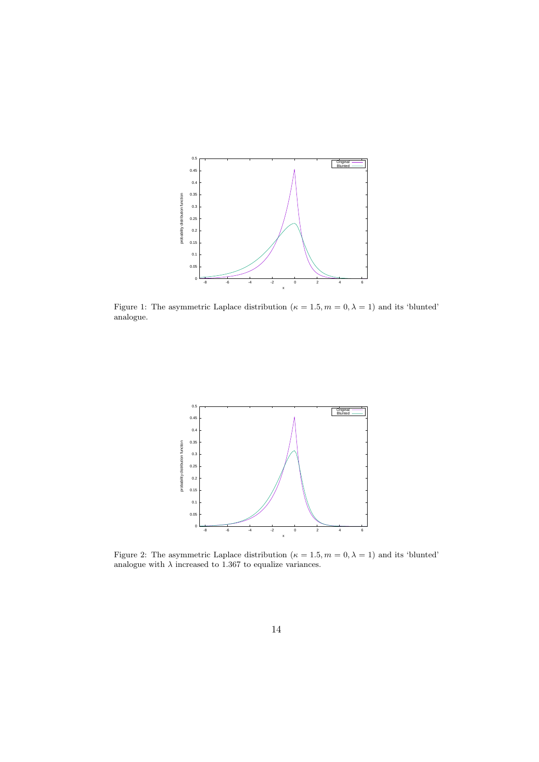

Figure 1: The asymmetric Laplace distribution ( $\kappa = 1.5, m = 0, \lambda = 1$ ) and its 'blunted' analogue.



Figure 2: The asymmetric Laplace distribution ( $\kappa = 1.5, m = 0, \lambda = 1$ ) and its 'blunted' analogue with  $\lambda$  increased to 1.367 to equalize variances.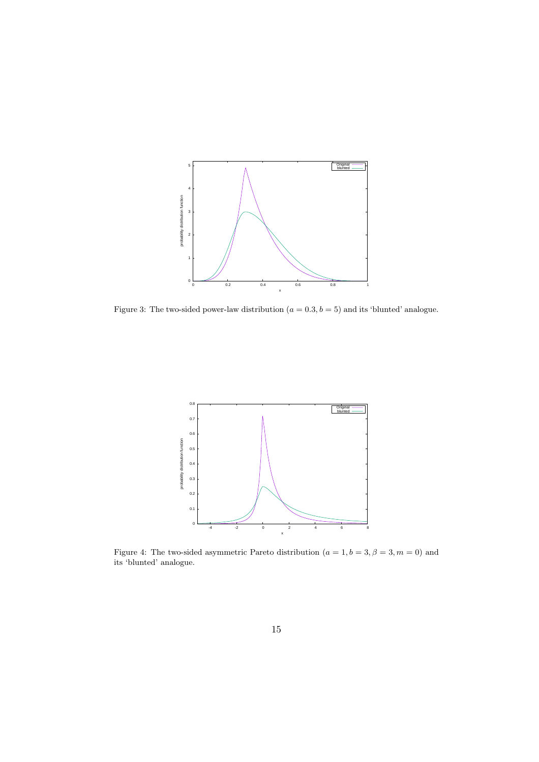

Figure 3: The two-sided power-law distribution  $(a = 0.3, b = 5)$  and its 'blunted' analogue.



Figure 4: The two-sided asymmetric Pareto distribution  $(a = 1, b = 3, \beta = 3, m = 0)$  and its 'blunted' analogue.